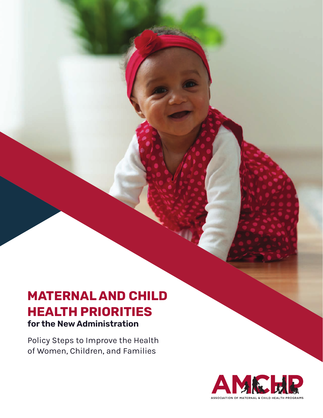# **MATERNAL AND CHILD HEALTH PRIORITIES for the New Administration**

Policy Steps to Improve the Health of Women, Children, and Families

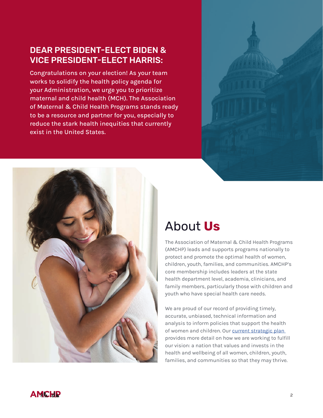## DEAR PRESIDENT-ELECT BIDEN & VICE PRESIDENT-ELECT HARRIS:

Congratulations on your election! As your team works to solidify the health policy agenda for your Administration, we urge you to prioritize maternal and child health (MCH). The Association of Maternal & Child Health Programs stands ready to be a resource and partner for you, especially to reduce the stark health inequities that currently exist in the United States.



# About **Us**

The Association of Maternal & Child Health Programs (AMCHP) leads and supports programs nationally to protect and promote the optimal health of women, children, youth, families, and communities. AMCHP's core membership includes leaders at the state health department level, academia, clinicians, and family members, particularly those with children and youth who have special health care needs.

We are proud of our record of providing timely, accurate, unbiased, technical information and analysis to inform policies that support the health of women and children. Our current strategic plan provides more detail on how we are working to fulfill our vision: a nation that values and invests in the health and wellbeing of all women, children, youth, families, and communities so that they may thrive.

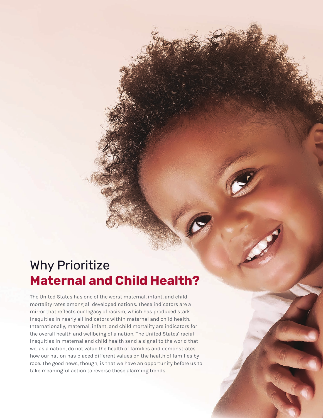# Why Prioritize **Maternal and Child Health?**

The United States has one of the worst maternal, infant, and child mortality rates among all developed nations. These indicators are a mirror that reflects our legacy of racism, which has produced stark inequities in nearly all indicators within maternal and child health. Internationally, maternal, infant, and child mortality are indicators for the overall health and wellbeing of a nation. The United States' racial inequities in maternal and child health send a signal to the world that we, as a nation, do not value the health of families and demonstrates how our nation has placed different values on the health of families by race. The good news, though, is that we have an opportunity before us to take meaningful action to reverse these alarming trends.

3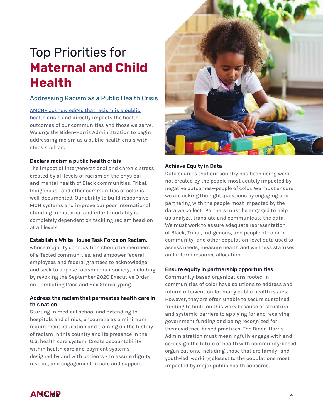# Top Priorities for **Maternal and Child Health**

### Addressing Racism as a Public Health Crisis

[AMCHP acknowledges that racism is a public](http://www.amchp.org/AboutAMCHP/NewsRoom/Documents/AMCHP Press Release_062320.pdf)  [health crisis](http://www.amchp.org/AboutAMCHP/NewsRoom/Documents/AMCHP Press Release_062320.pdf) and directly impacts the health outcomes of our communities and those we serve. We urge the Biden-Harris Administration to begin addressing racism as a public health crisis with steps such as:

#### Declare racism a public health crisis

The impact of intergenerational and chronic stress created by all levels of racism on the physical and mental health of Black communities, Tribal, Indigenous, and other communities of color is well-documented. Our ability to build responsive MCH systems and improve our poor international standing in maternal and infant mortality is completely dependent on tackling racism head-on at all levels.

#### Establish a White House Task Force on Racism,

whose majority composition should be members of affected communities, and empower federal employees and federal grantees to acknowledge and seek to oppose racism in our society, including by revoking the September 2020 Executive Order on Combating Race and Sex Stereotyping.

#### Address the racism that permeates health care in this nation

Starting in medical school and extending to hospitals and clinics, encourage as a minimum requirement education and training on the history of racism in this country and its presence in the U.S. health care system. Create accountability within health care and payment systems – designed by and with patients – to assure dignity, respect, and engagement in care and support.



#### Achieve Equity in Data

Data sources that our country has been using were not created by the people most acutely impacted by negative outcomes—people of color. We must ensure we are asking the right questions by engaging and partnering with the people most impacted by the data we collect. Partners must be engaged to help us analyze, translate and communicate the data. We must work to assure adequate representation of Black, Tribal, Indigenous, and people of color in community- and other population-level data used to assess needs, measure health and wellness statuses, and inform resource allocation.

#### Ensure equity in partnership opportunities

Community-based organizations rooted in communities of color have solutions to address and inform intervention for many public health issues. However, they are often unable to secure sustained funding to build on this work because of structural and systemic barriers to applying for and receiving government funding and being recognized for their evidence-based practices. The Biden-Harris Administration must meaningfully engage with and co-design the future of health with community-based organizations, including those that are family- and youth-led, working closest to the populations most impacted by major public health concerns.

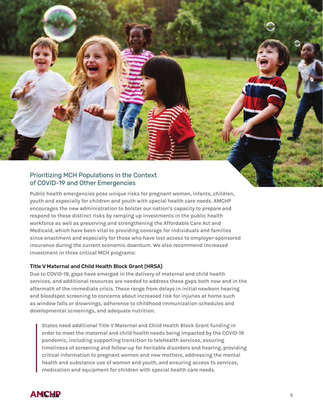

Public health emergencies pose unique risks for pregnant women, infants, children, youth and especially for children and youth with special health care needs. AMCHP encourages the new administration to bolster our nation's capacity to prepare and respond to these distinct risks by ramping up investments in the public health workforce as well as preserving and strengthening the Affordable Care Act and Medicaid, which have been vital to providing coverage for individuals and families since enactment and especially for those who have lost access to employer-sponsored insurance during the current economic downturn. We also recommend increased investment in three critical MCH programs:

#### Title V Maternal and Child Health Block Grant (HRSA)

Due to COVID-19, gaps have emerged in the delivery of maternal and child health services, and additional resources are needed to address these gaps both now and in the aftermath of the immediate crisis. These range from delays in initial newborn hearing and bloodspot screening to concerns about increased risk for injuries at home such as window falls or drownings, adherence to childhood immunization schedules and developmental screenings, and adequate nutrition.

States need additional Title V Maternal and Child Health Block Grant funding in order to meet the maternal and child health needs being impacted by the COVID-19 pandemic, including supporting transition to telehealth services, assuring timeliness of screening and follow-up for heritable disorders and hearing, providing critical information to pregnant women and new mothers, addressing the mental health and substance use of women and youth, and ensuring access to services, medication and equipment for children with special health care needs.

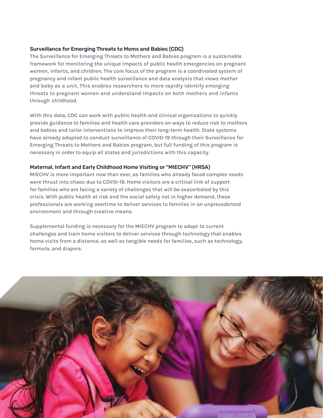#### Surveillance for Emerging Threats to Moms and Babies (CDC)

The Surveillance for Emerging Threats to Mothers and Babies program is a sustainable framework for monitoring the unique impacts of public health emergencies on pregnant women, infants, and children. The core focus of the program is a coordinated system of pregnancy and infant public health surveillance and data analysis that views mother and baby as a unit. This enables researchers to more rapidly identify emerging threats to pregnant women and understand impacts on both mothers and infants through childhood.

With this data, CDC can work with public health and clinical organizations to quickly provide guidance to families and health care providers on ways to reduce risk to mothers and babies and tailor interventions to improve their long-term health. State systems have already adapted to conduct surveillance of COVID-19 through their Surveillance for Emerging Threats to Mothers and Babies program, but full funding of this program is necessary in order to equip all states and jurisdictions with this capacity.

#### Maternal, Infant and Early Childhood Home Visiting or "MIECHV" (HRSA)

MIECHV is more important now than ever, as families who already faced complex needs were thrust into chaos due to COVID-19. Home visitors are a critical link of support for families who are facing a variety of challenges that will be exacerbated by this crisis. With public health at risk and the social safety net in higher demand, these professionals are working overtime to deliver services to families in an unprecedented environment and through creative means.

Supplemental funding is necessary for the MIECHV program to adapt to current challenges and train home visitors to deliver services through technology that enables home visits from a distance, as well as tangible needs for families, such as technology, formula, and diapers.

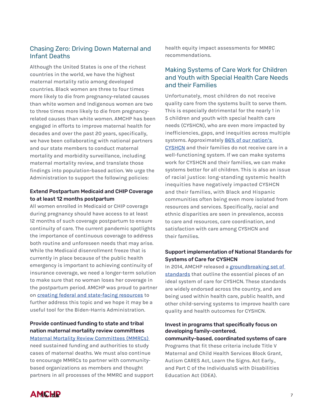### Chasing Zero: Driving Down Maternal and Infant Deaths

Although the United States is one of the richest countries in the world, we have the highest maternal mortality ratio among developed countries. Black women are three to four times more likely to die from pregnancy-related causes than white women and Indigenous women are two to three times more likely to die from pregnancyrelated causes than white women. AMCHP has been engaged in efforts to improve maternal health for decades and over the past 20 years, specifically, we have been collaborating with national partners and our state members to conduct maternal mortality and morbidity surveillance, including maternal mortality review, and translate those findings into population-based action. We urge the Administration to support the following policies:

#### Extend Postpartum Medicaid and CHIP Coverage to at least 12 months postpartum

All women enrolled in Medicaid or CHIP coverage during pregnancy should have access to at least 12 months of such coverage postpartum to ensure continuity of care. The current pandemic spotlights the importance of continuous coverage to address both routine and unforeseen needs that may arise. While the Medicaid disenrollment freeze that is currently in place because of the public health emergency is important to achieving continuity of insurance coverage, we need a longer-term solution to make sure that no woman loses her coverage in the postpartum period. AMCHP was proud to partner on [creating federal and state-facing resources](https://www.equitablemhc.org/ppmedicaidtoolkits) to further address this topic and we hope it may be a useful tool for the Biden-Harris Administration.

## Provide continued funding to state and tribal nation maternal mortality review committees

[Maternal Mortality Review Committees \(MMRCs\)](https://reviewtoaction.org/)  need sustained funding and authorities to study cases of maternal deaths. We must also continue to encourage MMRCs to partner with communitybased organizations as members and thought partners in all processes of the MMRC and support health equity impact assessments for MMRC recommendations.

### Making Systems of Care Work for Children and Youth with Special Health Care Needs and their Families

Unfortunately, most children do not receive quality care from the systems built to serve them. This is especially detrimental for the nearly 1 in 5 children and youth with special health care needs (CYSHCN), who are even more impacted by inefficiencies, gaps, and inequities across multiple systems. Approximately 86% of our nation's [CYSHCN](https://www.childhealthdata.org/browse/survey/results?q=7789&r=1&g=807) and their families do not receive care in a well-functioning system. If we can make systems work for CYSHCN and their families, we can make systems better for all children. This is also an issue of racial justice: long-standing systemic health inequities have negatively impacted CYSHCN and their families, with Black and Hispanic communities often being even more isolated from resources and services. Specifically, racial and ethnic disparities are seen in prevalence, access to care and resources, care coordination, and satisfaction with care among CYSHCN and their families.

### Support implementation of National Standards for Systems of Care for CYSHCN

In 2014, AMCHP released a groundbreaking set of [standards](http://www.amchp.org/programsandtopics/CYSHCN/Documents/Standards for Systems of Care for Children and Youth with Special Health Care Needs Version 2.0.pdf) that outline the essential pieces of an ideal system of care for CYSHCN. These standards are widely endorsed across the country, and are being used within health care, public health, and other child-serving systems to improve health care quality and health outcomes for CYSHCN.

#### Invest in programs that specifically focus on developing family-centered,

community-based, coordinated systems of care Programs that fit these criteria include Title V Maternal and Child Health Services Block Grant, Autism CARES Act, Learn the Signs. Act Early., and Part C of the IndividualsS with Disabilities Education Act (IDEA).